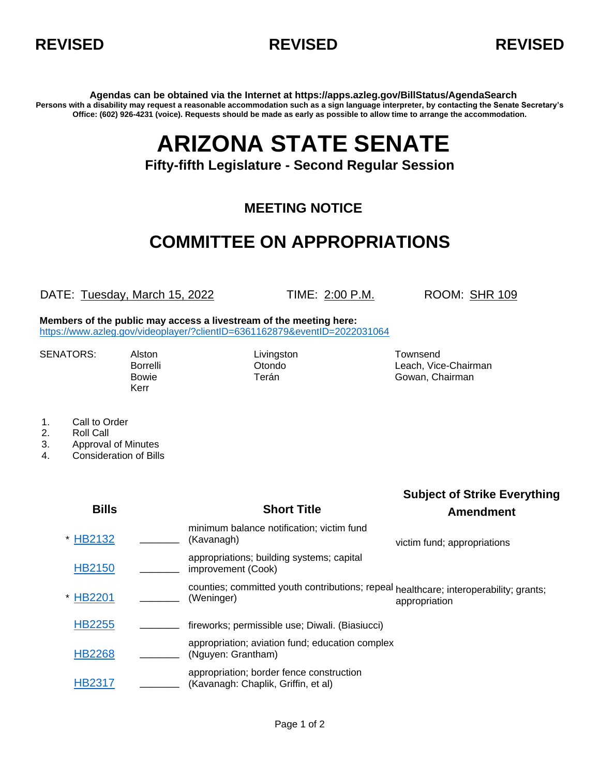



**Agendas can be obtained via the Internet at https://apps.azleg.gov/BillStatus/AgendaSearch Persons with a disability may request a reasonable accommodation such as a sign language interpreter, by contacting the Senate Secretary's Office: (602) 926-4231 (voice). Requests should be made as early as possible to allow time to arrange the accommodation.**

## **ARIZONA STATE SENATE**

**Fifty-fifth Legislature - Second Regular Session**

## **MEETING NOTICE**

## **COMMITTEE ON APPROPRIATIONS**

DATE: Tuesday, March 15, 2022 TIME: 2:00 P.M. ROOM: SHR 109

**Members of the public may access a livestream of the meeting here:**  <https://www.azleg.gov/videoplayer/?clientID=6361162879&eventID=2022031064>

SENATORS: Alston Livingston Livingston Townsend

Kerr

Borrelli **Communistis Communisties** Otondo **Leach, Vice-Chairman** Bowie **Terán** Terán Gowan, Chairman

- 1. Call to Order
- 2. Roll Call
- 3. Approval of Minutes
- 4. Consideration of Bills

| <b>Bills</b>  | <b>Short Title</b>                                                                                  | <b>Subject of Strike Everything</b><br><b>Amendment</b> |
|---------------|-----------------------------------------------------------------------------------------------------|---------------------------------------------------------|
| * HB2132      | minimum balance notification; victim fund<br>(Kavanagh)                                             | victim fund; appropriations                             |
| <b>HB2150</b> | appropriations; building systems; capital<br>improvement (Cook)                                     |                                                         |
| * HB2201      | counties; committed youth contributions; repeal healthcare; interoperability; grants;<br>(Weninger) | appropriation                                           |
| <b>HB2255</b> | fireworks; permissible use; Diwali. (Biasiucci)                                                     |                                                         |
| <b>HB2268</b> | appropriation; aviation fund; education complex<br>(Nguyen: Grantham)                               |                                                         |
| HB2317        | appropriation; border fence construction<br>(Kavanagh: Chaplik, Griffin, et al)                     |                                                         |